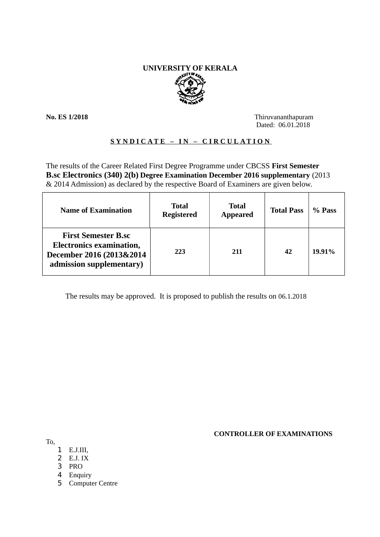# **UNIVERSITY OF KERALA**

**No. ES 1/2018** Thiruvananthapuram Dated: 06.01.2018

# **SYNDICATE – IN – CIRCULATION**

The results of the Career Related First Degree Programme under CBCSS **First Semester B.sc Electronics (340) 2(b) Degree Examination December 2016 supplementary** (2013 & 2014 Admission) as declared by the respective Board of Examiners are given below.

| <b>Name of Examination</b>                                                                                            | <b>Total</b><br><b>Registered</b> | <b>Total</b><br><b>Appeared</b> | <b>Total Pass</b> | % Pass |
|-----------------------------------------------------------------------------------------------------------------------|-----------------------------------|---------------------------------|-------------------|--------|
| <b>First Semester B.sc</b><br><b>Electronics examination,</b><br>December 2016 (2013&2014<br>admission supplementary) | 223                               | 211                             | 42                | 19.91% |

The results may be approved. It is proposed to publish the results on 06.1.2018

 **CONTROLLER OF EXAMINATIONS**

To,

- 1 E.J.III,
- $\overline{2}$  E.J. IX
- 3 PRO
- 4 Enquiry
- 5 Computer Centre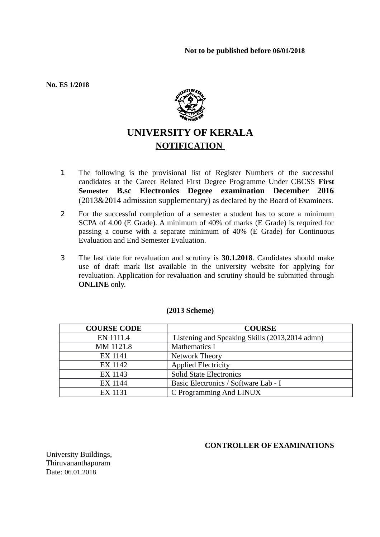**No. ES 1/2018**



# **UNIVERSITY OF KERALA NOTIFICATION**

- 1 The following is the provisional list of Register Numbers of the successful candidates at the Career Related First Degree Programme Under CBCSS **First Semester B.sc Electronics Degree examination December 2016** (2013&2014 admission supplementary) as declared by the Board of Examiners.
- 2 For the successful completion of a semester a student has to score a minimum SCPA of 4.00 (E Grade). A minimum of 40% of marks (E Grade) is required for passing a course with a separate minimum of 40% (E Grade) for Continuous Evaluation and End Semester Evaluation.
- 3 The last date for revaluation and scrutiny is **30.1.2018**. Candidates should make use of draft mark list available in the university website for applying for revaluation. Application for revaluation and scrutiny should be submitted through **ONLINE** only.

| <b>COURSE CODE</b> | <b>COURSE</b>                                  |
|--------------------|------------------------------------------------|
| EN 1111.4          | Listening and Speaking Skills (2013,2014 admn) |
| MM 1121.8          | <b>Mathematics I</b>                           |
| EX 1141            | Network Theory                                 |
| EX 1142            | <b>Applied Electricity</b>                     |
| EX 1143            | <b>Solid State Electronics</b>                 |
| EX 1144            | Basic Electronics / Software Lab - I           |
| <b>EX 1131</b>     | C Programming And LINUX                        |

# **(2013 Scheme)**

# **CONTROLLER OF EXAMINATIONS**

University Buildings, Thiruvananthapuram Date: 06.01.2018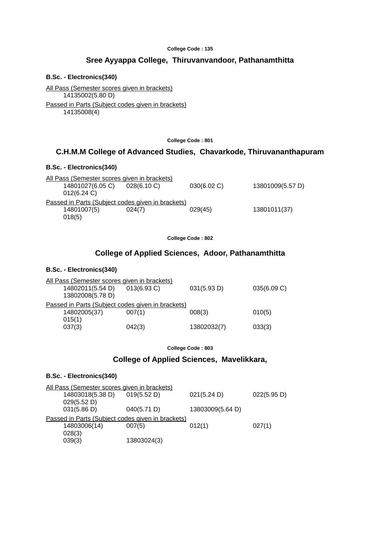#### **College Code : 135**

# **Sree Ayyappa College, Thiruvanvandoor, Pathanamthitta**

#### **B.Sc. - Electronics(340)**

All Pass (Semester scores given in brackets) 14135002(5.80 D) Passed in Parts (Subject codes given in brackets)

14135008(4)

#### **College Code : 801**

# **C.H.M.M College of Advanced Studies, Chavarkode, Thiruvananthapuram**

### **B.Sc. - Electronics(340)**

|                |                  | All Pass (Semester scores given in brackets)      |             |                  |
|----------------|------------------|---------------------------------------------------|-------------|------------------|
|                | 14801027(6.05 C) | 028(6.10 C)                                       | 030(6.02 C) | 13801009(5.57 D) |
| $012(6.24)$ C) |                  |                                                   |             |                  |
|                |                  | Passed in Parts (Subject codes given in brackets) |             |                  |
| 14801007(5)    |                  | 024(7)                                            | 029(45)     | 13801011(37)     |
| 018(5)         |                  |                                                   |             |                  |

**College Code : 802**

# **College of Applied Sciences, Adoor, Pathanamthitta**

# **B.Sc. - Electronics(340)**

| All Pass (Semester scores given in brackets)      |             |             |             |
|---------------------------------------------------|-------------|-------------|-------------|
| 14802011(5.54 D)                                  | 013(6.93 C) | 031(5.93 D) | 035(6.09 C) |
| 13802008(5.78 D)                                  |             |             |             |
| Passed in Parts (Subject codes given in brackets) |             |             |             |
| 14802005(37)                                      | 007(1)      | 008(3)      | 010(5)      |
| 015(1)                                            |             |             |             |
| 037(3)                                            | 042(3)      | 13802032(7) | 033(3)      |

**College Code : 803**

# **College of Applied Sciences, Mavelikkara,**

#### **B.Sc. - Electronics(340)**

| All Pass (Semester scores given in brackets)      |             |             |                  |             |
|---------------------------------------------------|-------------|-------------|------------------|-------------|
| 14803018(5.38 D)                                  | 019(5.52 D) |             | 021(5.24 D)      | 022(5.95 D) |
| 029(5.52 D)                                       |             |             |                  |             |
| 031(5.86 D)                                       | 040(5.71 D) |             | 13803009(5.64 D) |             |
| Passed in Parts (Subject codes given in brackets) |             |             |                  |             |
| 14803006(14)                                      | 007(5)      |             | 012(1)           | 027(1)      |
| 028(3)                                            |             |             |                  |             |
| 039(3)                                            |             | 13803024(3) |                  |             |
|                                                   |             |             |                  |             |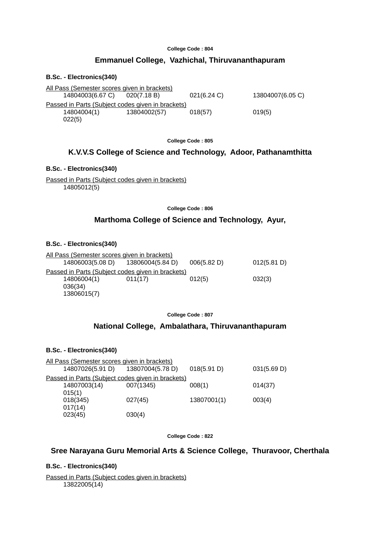#### **College Code : 804**

# **Emmanuel College, Vazhichal, Thiruvananthapuram**

#### **B.Sc. - Electronics(340)**

| All Pass (Semester scores given in brackets)      |              |                |                  |
|---------------------------------------------------|--------------|----------------|------------------|
| 14804003(6.67 C) 020(7.18 B)                      |              | $021(6.24)$ C) | 13804007(6.05 C) |
| Passed in Parts (Subject codes given in brackets) |              |                |                  |
| 14804004(1)                                       | 13804002(57) | 018(57)        | 019(5)           |
| 022(5)                                            |              |                |                  |

**College Code : 805**

# **K.V.V.S College of Science and Technology, Adoor, Pathanamthitta**

#### **B.Sc. - Electronics(340)**

Passed in Parts (Subject codes given in brackets) 14805012(5)

**College Code : 806**

# **Marthoma College of Science and Technology, Ayur,**

### **B.Sc. - Electronics(340)**

|         | 006(5.82 D)                                                      | 012(5.81 D)                                       |
|---------|------------------------------------------------------------------|---------------------------------------------------|
|         |                                                                  |                                                   |
| 011(17) | 012(5)                                                           | 032(3)                                            |
|         |                                                                  |                                                   |
|         |                                                                  |                                                   |
|         | All Pass (Semester scores given in brackets)<br>13806004(5.84 D) | Passed in Parts (Subject codes given in brackets) |

#### **College Code : 807**

# **National College, Ambalathara, Thiruvananthapuram**

### **B.Sc. - Electronics(340)**

| All Pass (Semester scores given in brackets)      |                  |             |             |
|---------------------------------------------------|------------------|-------------|-------------|
| 14807026(5.91 D)                                  | 13807004(5.78 D) | 018(5.91 D) | 031(5.69 D) |
| Passed in Parts (Subject codes given in brackets) |                  |             |             |
| 14807003(14)                                      | 007(1345)        | 008(1)      | 014(37)     |
| 015(1)                                            |                  |             |             |
| 018(345)                                          | 027(45)          | 13807001(1) | 003(4)      |
| 017(14)                                           |                  |             |             |
| 023(45)                                           | 030(4)           |             |             |

**College Code : 822**

# **Sree Narayana Guru Memorial Arts & Science College, Thuravoor, Cherthala**

### **B.Sc. - Electronics(340)**

Passed in Parts (Subject codes given in brackets) 13822005(14)